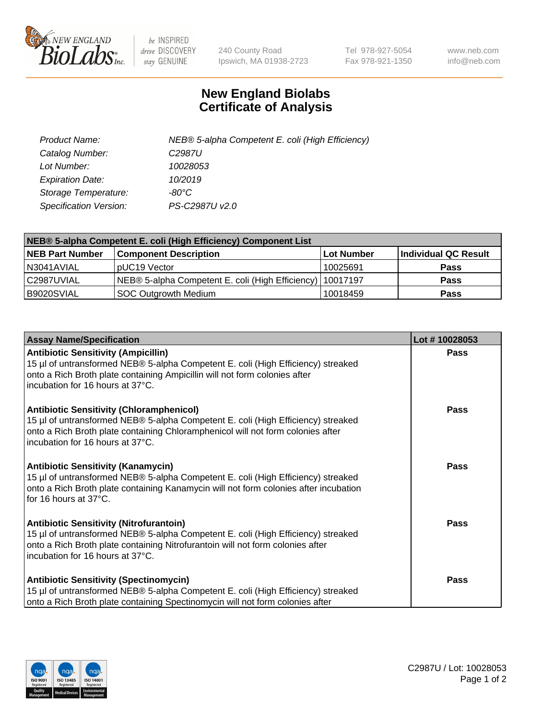

 $be$  INSPIRED drive DISCOVERY stay GENUINE

240 County Road Ipswich, MA 01938-2723 Tel 978-927-5054 Fax 978-921-1350 www.neb.com info@neb.com

## **New England Biolabs Certificate of Analysis**

| Product Name:           | NEB® 5-alpha Competent E. coli (High Efficiency) |
|-------------------------|--------------------------------------------------|
| Catalog Number:         | C <sub>2987</sub> U                              |
| Lot Number:             | 10028053                                         |
| <b>Expiration Date:</b> | 10/2019                                          |
| Storage Temperature:    | -80°C                                            |
| Specification Version:  | PS-C2987U v2.0                                   |

| NEB® 5-alpha Competent E. coli (High Efficiency) Component List |                                                             |            |                      |  |
|-----------------------------------------------------------------|-------------------------------------------------------------|------------|----------------------|--|
| <b>NEB Part Number</b>                                          | <b>Component Description</b>                                | Lot Number | Individual QC Result |  |
| N3041AVIAL                                                      | pUC19 Vector                                                | 10025691   | <b>Pass</b>          |  |
| C2987UVIAL                                                      | NEB® 5-alpha Competent E. coli (High Efficiency)   10017197 |            | <b>Pass</b>          |  |
| B9020SVIAL                                                      | SOC Outgrowth Medium                                        | 10018459   | <b>Pass</b>          |  |

| <b>Assay Name/Specification</b>                                                                                                                                                                                                                            | Lot #10028053 |
|------------------------------------------------------------------------------------------------------------------------------------------------------------------------------------------------------------------------------------------------------------|---------------|
| <b>Antibiotic Sensitivity (Ampicillin)</b><br>15 µl of untransformed NEB® 5-alpha Competent E. coli (High Efficiency) streaked<br>onto a Rich Broth plate containing Ampicillin will not form colonies after<br>incubation for 16 hours at 37°C.           | <b>Pass</b>   |
| <b>Antibiotic Sensitivity (Chloramphenicol)</b><br>15 µl of untransformed NEB® 5-alpha Competent E. coli (High Efficiency) streaked<br>onto a Rich Broth plate containing Chloramphenicol will not form colonies after<br>incubation for 16 hours at 37°C. | <b>Pass</b>   |
| <b>Antibiotic Sensitivity (Kanamycin)</b><br>15 µl of untransformed NEB® 5-alpha Competent E. coli (High Efficiency) streaked<br>onto a Rich Broth plate containing Kanamycin will not form colonies after incubation<br>for 16 hours at 37°C.             | Pass          |
| <b>Antibiotic Sensitivity (Nitrofurantoin)</b><br>15 µl of untransformed NEB® 5-alpha Competent E. coli (High Efficiency) streaked<br>onto a Rich Broth plate containing Nitrofurantoin will not form colonies after<br>incubation for 16 hours at 37°C.   | Pass          |
| <b>Antibiotic Sensitivity (Spectinomycin)</b><br>15 µl of untransformed NEB® 5-alpha Competent E. coli (High Efficiency) streaked<br>onto a Rich Broth plate containing Spectinomycin will not form colonies after                                         | Pass          |